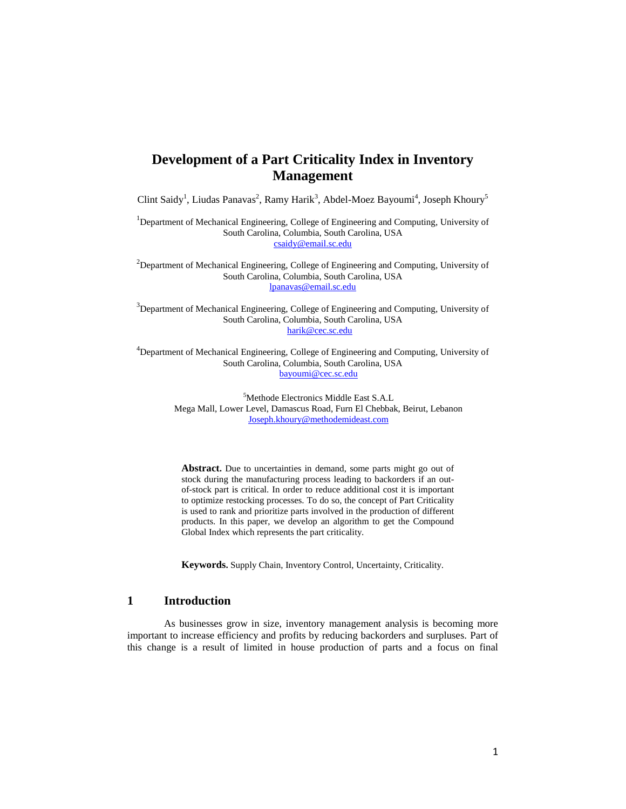# **Development of a Part Criticality Index in Inventory Management**

Clint Saidy<sup>1</sup>, Liudas Panavas<sup>2</sup>, Ramy Harik<sup>3</sup>, Abdel-Moez Bayoumi<sup>4</sup>, Joseph Khoury<sup>5</sup>

<sup>1</sup>Department of Mechanical Engineering, College of Engineering and Computing, University of South Carolina, Columbia, South Carolina, USA [csaidy@email.sc.edu](mailto:csaidy@email.sc.edu)

 $2D$ epartment of Mechanical Engineering, College of Engineering and Computing, University of South Carolina, Columbia, South Carolina, USA [lpanavas@email.sc.edu](mailto:lpanavas@email.sc.edu)

 $3D$  Department of Mechanical Engineering, College of Engineering and Computing, University of South Carolina, Columbia, South Carolina, USA [harik@cec.sc.edu](mailto:harik@cec.sc.edu)

<sup>4</sup>Department of Mechanical Engineering, College of Engineering and Computing, University of South Carolina, Columbia, South Carolina, USA [bayoumi@cec.sc.edu](mailto:bayoumi@cec.sc.edu)

> <sup>5</sup>Methode Electronics Middle East S.A.L Mega Mall, Lower Level, Damascus Road, Furn El Chebbak, Beirut, Lebanon [Joseph.khoury@methodemideast.com](mailto:Joseph.khoury@methodemideast.com)

Abstract. Due to uncertainties in demand, some parts might go out of stock during the manufacturing process leading to backorders if an outof-stock part is critical. In order to reduce additional cost it is important to optimize restocking processes. To do so, the concept of Part Criticality is used to rank and prioritize parts involved in the production of different products. In this paper, we develop an algorithm to get the Compound Global Index which represents the part criticality.

**Keywords.** Supply Chain, Inventory Control, Uncertainty, Criticality.

# **1 Introduction**

As businesses grow in size, inventory management analysis is becoming more important to increase efficiency and profits by reducing backorders and surpluses. Part of this change is a result of limited in house production of parts and a focus on final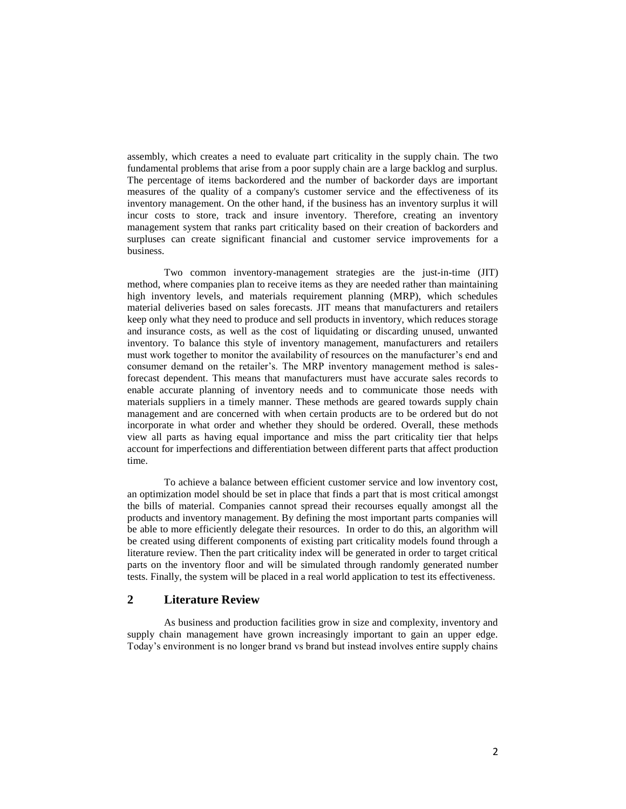assembly, which creates a need to evaluate part criticality in the supply chain. The two fundamental problems that arise from a poor supply chain are a large backlog and surplus. The percentage of items backordered and the number of backorder days are important measures of the quality of a company's customer service and the effectiveness of its inventory management. On the other hand, if the business has an inventory surplus it will incur costs to store, track and insure inventory. Therefore, creating an inventory management system that ranks part criticality based on their creation of backorders and surpluses can create significant financial and customer service improvements for a business.

Two common inventory-management strategies are the just-in-time (JIT) method, where companies plan to receive items as they are needed rather than maintaining high inventory levels, and materials requirement planning (MRP), which schedules material deliveries based on sales forecasts. JIT means that manufacturers and retailers keep only what they need to produce and sell products in inventory, which reduces storage and insurance costs, as well as the cost of liquidating or discarding unused, unwanted inventory. To balance this style of inventory management, manufacturers and retailers must work together to monitor the availability of resources on the manufacturer's end and consumer demand on the retailer's. The MRP inventory management method is salesforecast dependent. This means that manufacturers must have accurate sales records to enable accurate planning of inventory needs and to communicate those needs with materials suppliers in a timely manner. These methods are geared towards supply chain management and are concerned with when certain products are to be ordered but do not incorporate in what order and whether they should be ordered. Overall, these methods view all parts as having equal importance and miss the part criticality tier that helps account for imperfections and differentiation between different parts that affect production time.

To achieve a balance between efficient customer service and low inventory cost, an optimization model should be set in place that finds a part that is most critical amongst the bills of material. Companies cannot spread their recourses equally amongst all the products and inventory management. By defining the most important parts companies will be able to more efficiently delegate their resources. In order to do this, an algorithm will be created using different components of existing part criticality models found through a literature review. Then the part criticality index will be generated in order to target critical parts on the inventory floor and will be simulated through randomly generated number tests. Finally, the system will be placed in a real world application to test its effectiveness.

### **2 Literature Review**

As business and production facilities grow in size and complexity, inventory and supply chain management have grown increasingly important to gain an upper edge. Today's environment is no longer brand vs brand but instead involves entire supply chains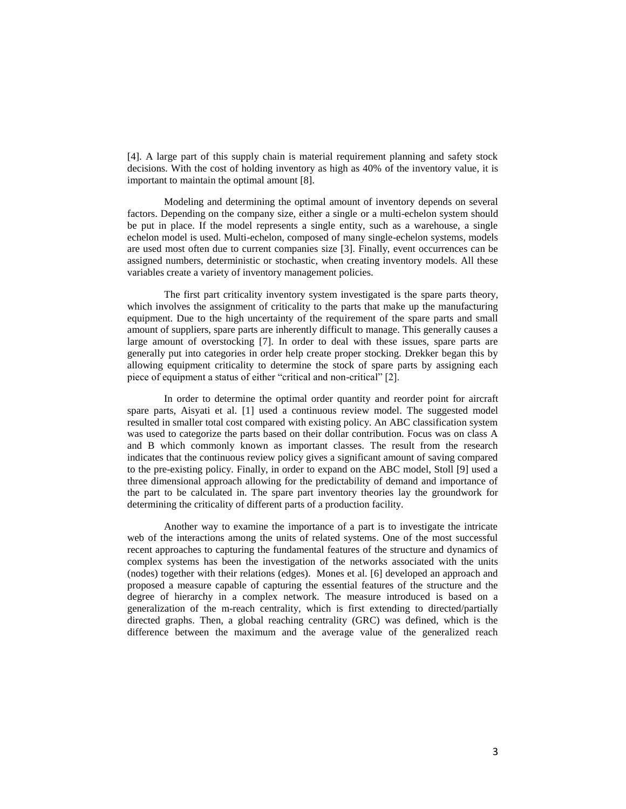[4]. A large part of this supply chain is material requirement planning and safety stock decisions. With the cost of holding inventory as high as 40% of the inventory value, it is important to maintain the optimal amount [8].

Modeling and determining the optimal amount of inventory depends on several factors. Depending on the company size, either a single or a multi-echelon system should be put in place. If the model represents a single entity, such as a warehouse, a single echelon model is used. Multi-echelon, composed of many single-echelon systems, models are used most often due to current companies size [3]. Finally, event occurrences can be assigned numbers, deterministic or stochastic, when creating inventory models. All these variables create a variety of inventory management policies.

The first part criticality inventory system investigated is the spare parts theory, which involves the assignment of criticality to the parts that make up the manufacturing equipment. Due to the high uncertainty of the requirement of the spare parts and small amount of suppliers, spare parts are inherently difficult to manage. This generally causes a large amount of overstocking [7]. In order to deal with these issues, spare parts are generally put into categories in order help create proper stocking. Drekker began this by allowing equipment criticality to determine the stock of spare parts by assigning each piece of equipment a status of either "critical and non-critical" [2].

In order to determine the optimal order quantity and reorder point for aircraft spare parts, Aisyati et al. [1] used a continuous review model. The suggested model resulted in smaller total cost compared with existing policy. An ABC classification system was used to categorize the parts based on their dollar contribution. Focus was on class A and B which commonly known as important classes. The result from the research indicates that the continuous review policy gives a significant amount of saving compared to the pre-existing policy. Finally, in order to expand on the ABC model, Stoll [9] used a three dimensional approach allowing for the predictability of demand and importance of the part to be calculated in. The spare part inventory theories lay the groundwork for determining the criticality of different parts of a production facility.

Another way to examine the importance of a part is to investigate the intricate web of the interactions among the units of related systems. One of the most successful recent approaches to capturing the fundamental features of the structure and dynamics of complex systems has been the investigation of the networks associated with the units (nodes) together with their relations (edges). Mones et al. [6] developed an approach and proposed a measure capable of capturing the essential features of the structure and the degree of hierarchy in a complex network. The measure introduced is based on a generalization of the m-reach centrality, which is first extending to directed/partially directed graphs. Then, a global reaching centrality (GRC) was defined, which is the difference between the maximum and the average value of the generalized reach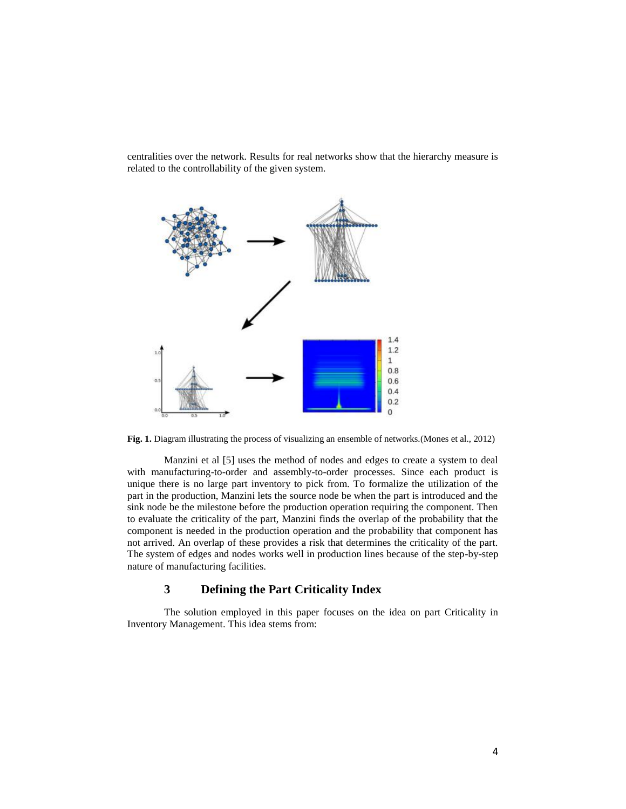centralities over the network. Results for real networks show that the hierarchy measure is related to the controllability of the given system.



**Fig. 1.** Diagram illustrating the process of visualizing an ensemble of networks.(Mones et al., 2012)

Manzini et al [5] uses the method of nodes and edges to create a system to deal with manufacturing-to-order and assembly-to-order processes. Since each product is unique there is no large part inventory to pick from. To formalize the utilization of the part in the production, Manzini lets the source node be when the part is introduced and the sink node be the milestone before the production operation requiring the component. Then to evaluate the criticality of the part, Manzini finds the overlap of the probability that the component is needed in the production operation and the probability that component has not arrived. An overlap of these provides a risk that determines the criticality of the part. The system of edges and nodes works well in production lines because of the step-by-step nature of manufacturing facilities.

# **3 Defining the Part Criticality Index**

The solution employed in this paper focuses on the idea on part Criticality in Inventory Management. This idea stems from: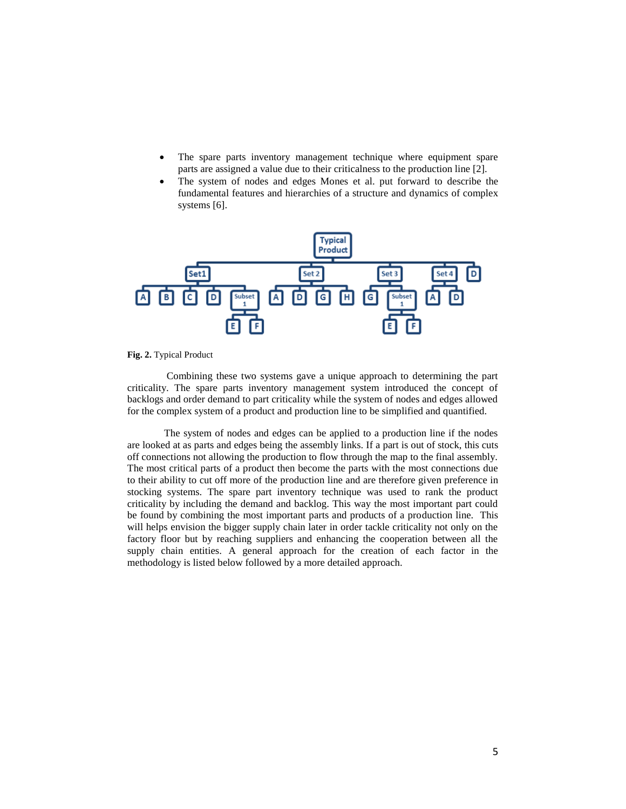- The spare parts inventory management technique where equipment spare parts are assigned a value due to their criticalness to the production line [2].
- The system of nodes and edges Mones et al. put forward to describe the fundamental features and hierarchies of a structure and dynamics of complex systems [6].



#### **Fig. 2.** Typical Product

Combining these two systems gave a unique approach to determining the part criticality. The spare parts inventory management system introduced the concept of backlogs and order demand to part criticality while the system of nodes and edges allowed for the complex system of a product and production line to be simplified and quantified.

The system of nodes and edges can be applied to a production line if the nodes are looked at as parts and edges being the assembly links. If a part is out of stock, this cuts off connections not allowing the production to flow through the map to the final assembly. The most critical parts of a product then become the parts with the most connections due to their ability to cut off more of the production line and are therefore given preference in stocking systems. The spare part inventory technique was used to rank the product criticality by including the demand and backlog. This way the most important part could be found by combining the most important parts and products of a production line. This will helps envision the bigger supply chain later in order tackle criticality not only on the factory floor but by reaching suppliers and enhancing the cooperation between all the supply chain entities. A general approach for the creation of each factor in the methodology is listed below followed by a more detailed approach.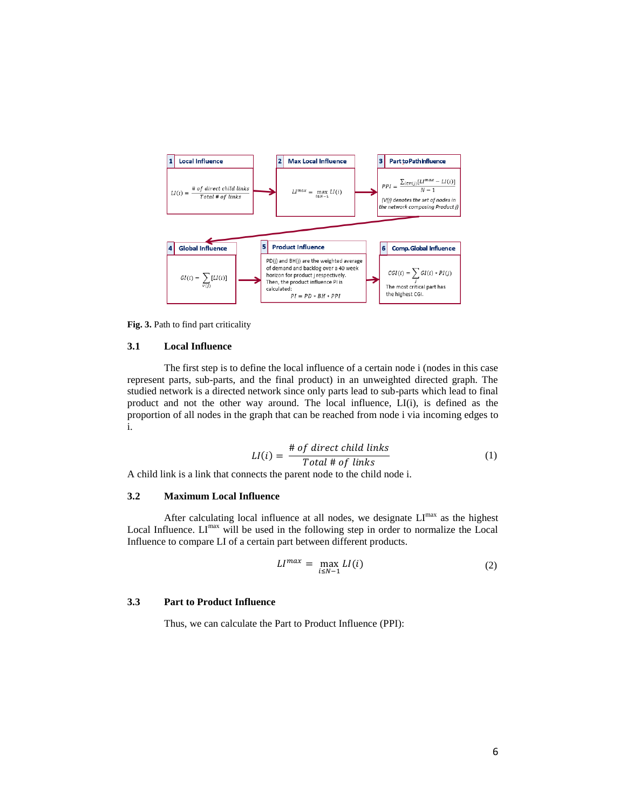

**Fig. 3.** Path to find part criticality

#### **3.1 Local Influence**

The first step is to define the local influence of a certain node i (nodes in this case represent parts, sub-parts, and the final product) in an unweighted directed graph. The studied network is a directed network since only parts lead to sub-parts which lead to final product and not the other way around. The local influence, LI(i), is defined as the proportion of all nodes in the graph that can be reached from node i via incoming edges to i.

$$
LI(i) = \frac{\text{# of direct child links}}{\text{Total # of links}}\tag{1}
$$

A child link is a link that connects the parent node to the child node i.

#### **3.2 Maximum Local Influence**

After calculating local influence at all nodes, we designate  $LI<sup>max</sup>$  as the highest Local Influence.  $LI^{max}$  will be used in the following step in order to normalize the Local Influence to compare LI of a certain part between different products.

$$
LI^{max} = \max_{i \le N-1} LI(i)
$$
 (2)

#### **3.3 Part to Product Influence**

Thus, we can calculate the Part to Product Influence (PPI):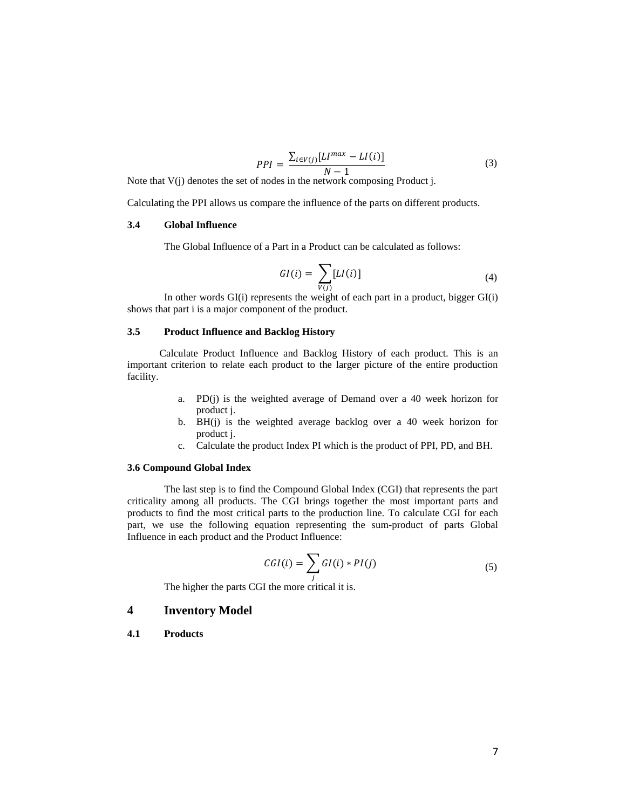$$
PPI = \frac{\sum_{i \in V(j)} [LI^{max} - LI(i)]}{N - 1}
$$
 (3)

Note that V(j) denotes the set of nodes in the network composing Product j.

Calculating the PPI allows us compare the influence of the parts on different products.

#### **3.4 Global Influence**

The Global Influence of a Part in a Product can be calculated as follows:

$$
GI(i) = \sum_{V(j)} [LI(i)] \tag{4}
$$

In other words GI(i) represents the weight of each part in a product, bigger GI(i) shows that part i is a major component of the product.

#### **3.5 Product Influence and Backlog History**

Calculate Product Influence and Backlog History of each product. This is an important criterion to relate each product to the larger picture of the entire production facility.

- a. PD(j) is the weighted average of Demand over a 40 week horizon for product j.
- b. BH(j) is the weighted average backlog over a 40 week horizon for product j.
- c. Calculate the product Index PI which is the product of PPI, PD, and BH.

#### **3.6 Compound Global Index**

The last step is to find the Compound Global Index (CGI) that represents the part criticality among all products. The CGI brings together the most important parts and products to find the most critical parts to the production line. To calculate CGI for each part, we use the following equation representing the sum-product of parts Global Influence in each product and the Product Influence:

$$
CGI(i) = \sum_{j} GI(i) * PI(j)
$$
 (5)

The higher the parts CGI the more critical it is.

#### **4 Inventory Model**

**4.1 Products**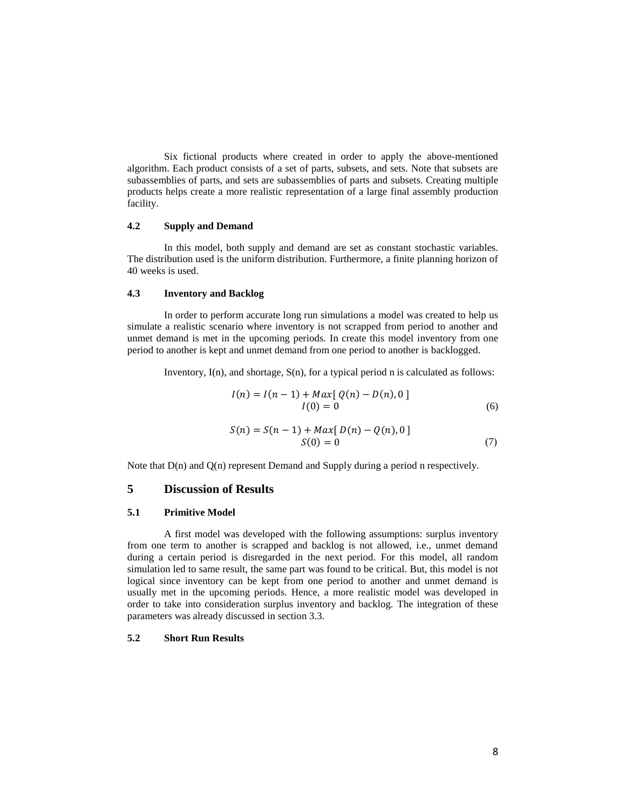Six fictional products where created in order to apply the above-mentioned algorithm. Each product consists of a set of parts, subsets, and sets. Note that subsets are subassemblies of parts, and sets are subassemblies of parts and subsets. Creating multiple products helps create a more realistic representation of a large final assembly production facility.

#### **4.2 Supply and Demand**

In this model, both supply and demand are set as constant stochastic variables. The distribution used is the uniform distribution. Furthermore, a finite planning horizon of 40 weeks is used.

#### **4.3 Inventory and Backlog**

In order to perform accurate long run simulations a model was created to help us simulate a realistic scenario where inventory is not scrapped from period to another and unmet demand is met in the upcoming periods. In create this model inventory from one period to another is kept and unmet demand from one period to another is backlogged.

Inventory,  $I(n)$ , and shortage,  $S(n)$ , for a typical period n is calculated as follows:

$$
I(n) = I(n-1) + Max[ Q(n) - D(n), 0 ]
$$
  

$$
I(0) = 0
$$
 (6)

$$
S(n) = S(n-1) + Max[D(n) - Q(n), 0]
$$
  

$$
S(0) = 0
$$
 (7)

Note that  $D(n)$  and  $Q(n)$  represent Demand and Supply during a period n respectively.

## **5 Discussion of Results**

#### **5.1 Primitive Model**

A first model was developed with the following assumptions: surplus inventory from one term to another is scrapped and backlog is not allowed, i.e., unmet demand during a certain period is disregarded in the next period. For this model, all random simulation led to same result, the same part was found to be critical. But, this model is not logical since inventory can be kept from one period to another and unmet demand is usually met in the upcoming periods. Hence, a more realistic model was developed in order to take into consideration surplus inventory and backlog. The integration of these parameters was already discussed in section 3.3.

#### **5.2 Short Run Results**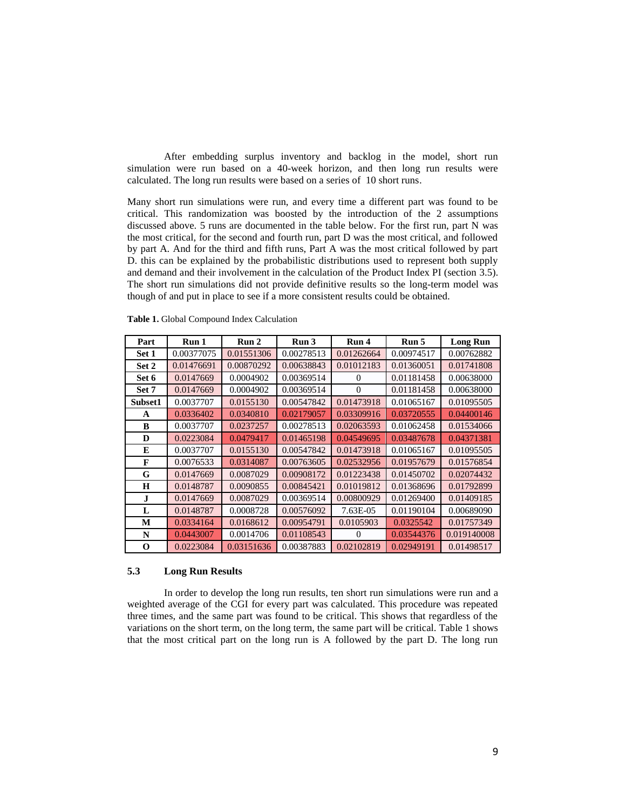After embedding surplus inventory and backlog in the model, short run simulation were run based on a 40-week horizon, and then long run results were calculated. The long run results were based on a series of 10 short runs.

Many short run simulations were run, and every time a different part was found to be critical. This randomization was boosted by the introduction of the 2 assumptions discussed above. 5 runs are documented in the table below. For the first run, part N was the most critical, for the second and fourth run, part D was the most critical, and followed by part A. And for the third and fifth runs, Part A was the most critical followed by part D. this can be explained by the probabilistic distributions used to represent both supply and demand and their involvement in the calculation of the Product Index PI (section 3.5). The short run simulations did not provide definitive results so the long-term model was though of and put in place to see if a more consistent results could be obtained.

| Part         | Run 1      | Run <sub>2</sub> | Run <sub>3</sub> | Run 4      | Run 5      | <b>Long Run</b> |
|--------------|------------|------------------|------------------|------------|------------|-----------------|
| Set 1        | 0.00377075 | 0.01551306       | 0.00278513       | 0.01262664 | 0.00974517 | 0.00762882      |
| Set 2        | 0.01476691 | 0.00870292       | 0.00638843       | 0.01012183 | 0.01360051 | 0.01741808      |
| Set 6        | 0.0147669  | 0.0004902        | 0.00369514       | $\Omega$   | 0.01181458 | 0.00638000      |
| Set 7        | 0.0147669  | 0.0004902        | 0.00369514       | $\Omega$   | 0.01181458 | 0.00638000      |
| Subset1      | 0.0037707  | 0.0155130        | 0.00547842       | 0.01473918 | 0.01065167 | 0.01095505      |
| A            | 0.0336402  | 0.0340810        | 0.02179057       | 0.03309916 | 0.03720555 | 0.04400146      |
| B            | 0.0037707  | 0.0237257        | 0.00278513       | 0.02063593 | 0.01062458 | 0.01534066      |
| D            | 0.0223084  | 0.0479417        | 0.01465198       | 0.04549695 | 0.03487678 | 0.04371381      |
| E            | 0.0037707  | 0.0155130        | 0.00547842       | 0.01473918 | 0.01065167 | 0.01095505      |
| F            | 0.0076533  | 0.0314087        | 0.00763605       | 0.02532956 | 0.01957679 | 0.01576854      |
| G            | 0.0147669  | 0.0087029        | 0.00908172       | 0.01223438 | 0.01450702 | 0.02074432      |
| $\bf H$      | 0.0148787  | 0.0090855        | 0.00845421       | 0.01019812 | 0.01368696 | 0.01792899      |
| $\mathbf{J}$ | 0.0147669  | 0.0087029        | 0.00369514       | 0.00800929 | 0.01269400 | 0.01409185      |
| L            | 0.0148787  | 0.0008728        | 0.00576092       | 7.63E-05   | 0.01190104 | 0.00689090      |
| M            | 0.0334164  | 0.0168612        | 0.00954791       | 0.0105903  | 0.0325542  | 0.01757349      |
| N            | 0.0443007  | 0.0014706        | 0.01108543       | $\Omega$   | 0.03544376 | 0.019140008     |
| $\mathbf 0$  | 0.0223084  | 0.03151636       | 0.00387883       | 0.02102819 | 0.02949191 | 0.01498517      |

**Table 1.** Global Compound Index Calculation

#### **5.3 Long Run Results**

In order to develop the long run results, ten short run simulations were run and a weighted average of the CGI for every part was calculated. This procedure was repeated three times, and the same part was found to be critical. This shows that regardless of the variations on the short term, on the long term, the same part will be critical. Table 1 shows that the most critical part on the long run is A followed by the part D. The long run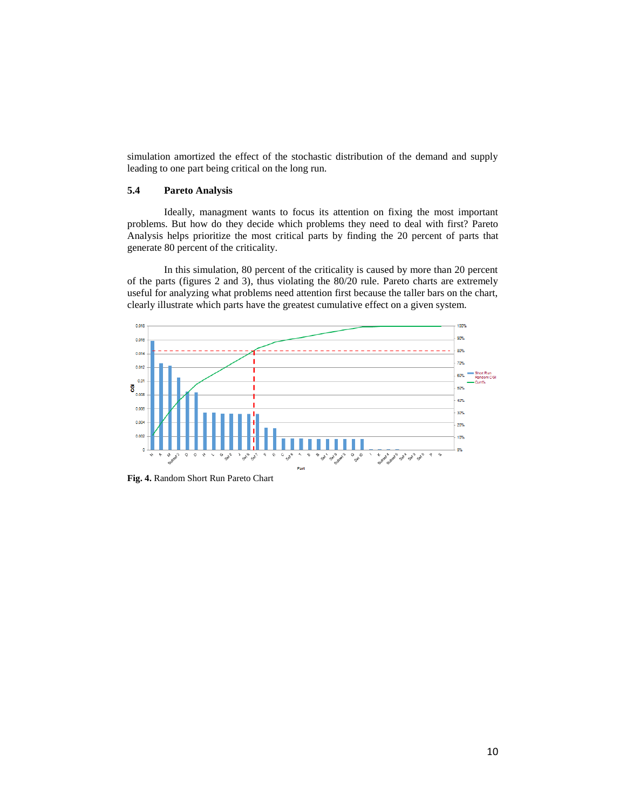simulation amortized the effect of the stochastic distribution of the demand and supply leading to one part being critical on the long run.

#### **5.4 Pareto Analysis**

Ideally, managment wants to focus its attention on fixing the most important problems. But how do they decide which problems they need to deal with first? Pareto Analysis helps prioritize the most critical parts by finding the 20 percent of parts that generate 80 percent of the criticality.

In this simulation, 80 percent of the criticality is caused by more than 20 percent of the parts (figures 2 and 3), thus violating the 80/20 rule. Pareto charts are extremely useful for analyzing what problems need attention first because the taller bars on the chart, clearly illustrate which parts have the greatest cumulative effect on a given system.



**Fig. 4.** Random Short Run Pareto Chart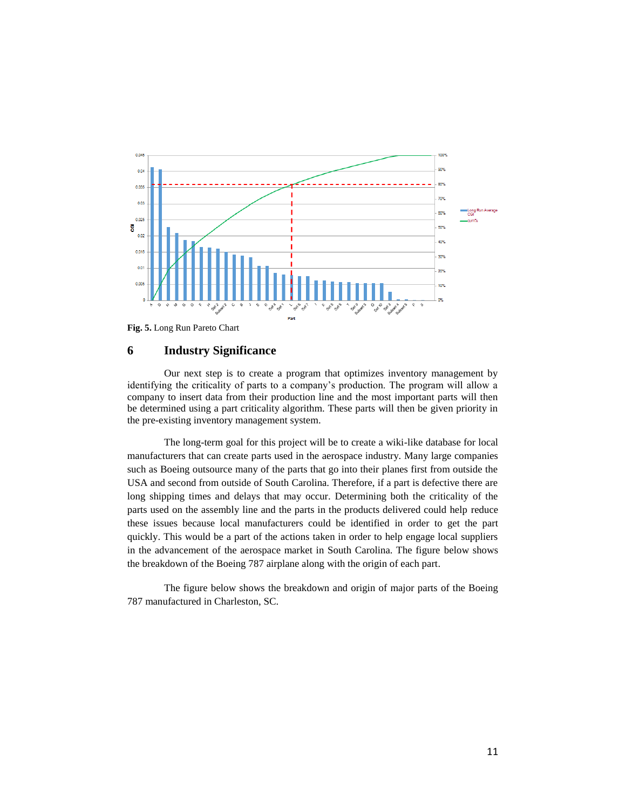

**Fig. 5.** Long Run Pareto Chart

### **6 Industry Significance**

Our next step is to create a program that optimizes inventory management by identifying the criticality of parts to a company's production. The program will allow a company to insert data from their production line and the most important parts will then be determined using a part criticality algorithm. These parts will then be given priority in the pre-existing inventory management system.

The long-term goal for this project will be to create a wiki-like database for local manufacturers that can create parts used in the aerospace industry. Many large companies such as Boeing outsource many of the parts that go into their planes first from outside the USA and second from outside of South Carolina. Therefore, if a part is defective there are long shipping times and delays that may occur. Determining both the criticality of the parts used on the assembly line and the parts in the products delivered could help reduce these issues because local manufacturers could be identified in order to get the part quickly. This would be a part of the actions taken in order to help engage local suppliers in the advancement of the aerospace market in South Carolina. The figure below shows the breakdown of the Boeing 787 airplane along with the origin of each part.

The figure below shows the breakdown and origin of major parts of the Boeing 787 manufactured in Charleston, SC.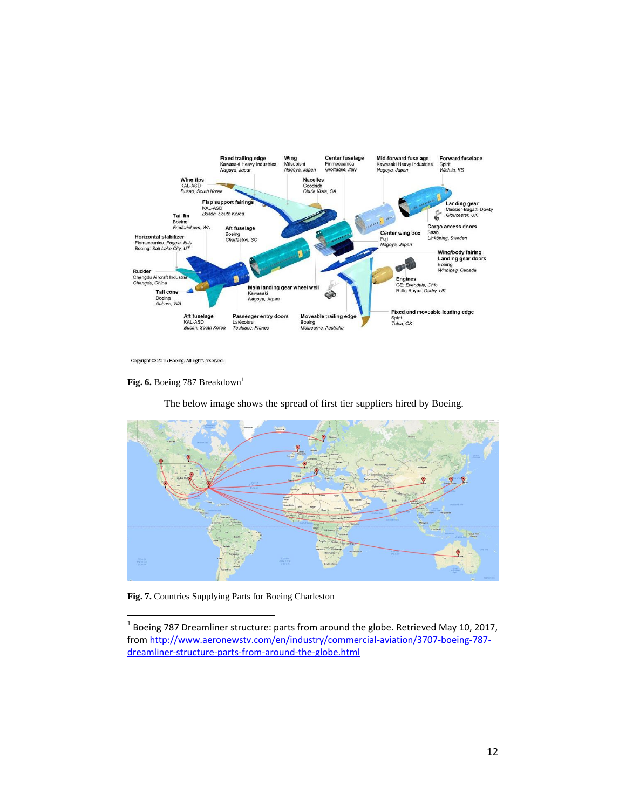



 $\overline{a}$ 



The below image shows the spread of first tier suppliers hired by Boeing.



**Fig. 7.** Countries Supplying Parts for Boeing Charleston

 $^1$  Boeing 787 Dreamliner structure: parts from around the globe. Retrieved May 10, 2017, fro[m http://www.aeronewstv.com/en/industry/commercial-aviation/3707-boeing-787](http://www.aeronewstv.com/en/industry/commercial-aviation/3707-boeing-787-dreamliner-structure-parts-from-around-the-globe.html) [dreamliner-structure-parts-from-around-the-globe.html](http://www.aeronewstv.com/en/industry/commercial-aviation/3707-boeing-787-dreamliner-structure-parts-from-around-the-globe.html)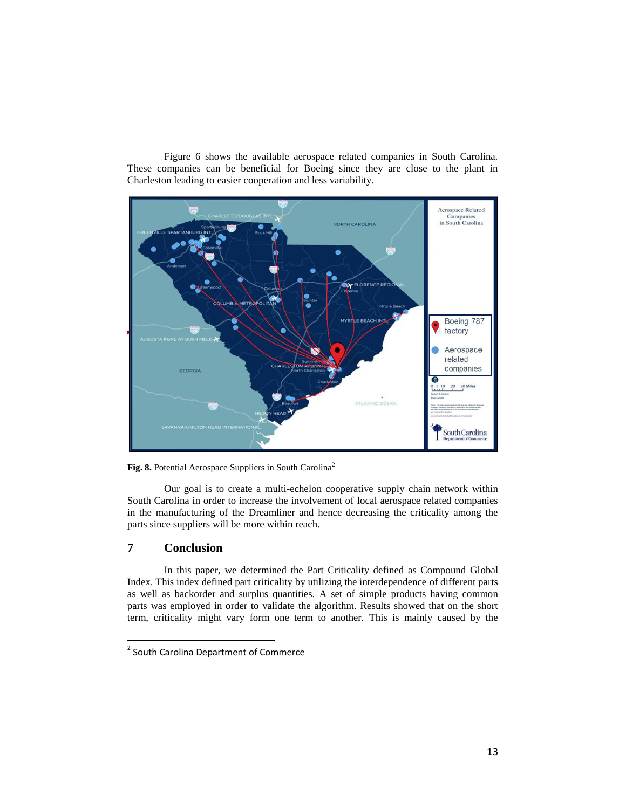Figure 6 shows the available aerospace related companies in South Carolina. These companies can be beneficial for Boeing since they are close to the plant in Charleston leading to easier cooperation and less variability.



Fig. 8. Potential Aerospace Suppliers in South Carolina<sup>2</sup>

Our goal is to create a multi-echelon cooperative supply chain network within South Carolina in order to increase the involvement of local aerospace related companies in the manufacturing of the Dreamliner and hence decreasing the criticality among the parts since suppliers will be more within reach.

# **7 Conclusion**

In this paper, we determined the Part Criticality defined as Compound Global Index. This index defined part criticality by utilizing the interdependence of different parts as well as backorder and surplus quantities. A set of simple products having common parts was employed in order to validate the algorithm. Results showed that on the short term, criticality might vary form one term to another. This is mainly caused by the

 2 South Carolina Department of Commerce